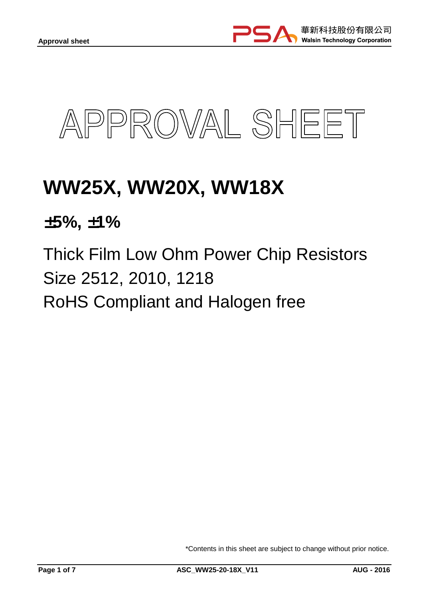



# **WW25X, WW20X, WW18X**

±**5%,** ±**1%** 

Thick Film Low Ohm Power Chip Resistors Size 2512, 2010, 1218 RoHS Compliant and Halogen free

\*Contents in this sheet are subject to change without prior notice.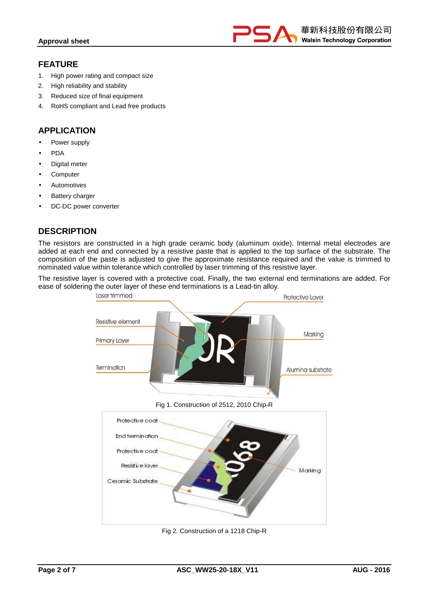

## **FEATURE**

- 1. High power rating and compact size
- 2. High reliability and stability
- 3. Reduced size of final equipment
- 4. RoHS compliant and Lead free products

## **APPLICATION**

- Power supply
- PDA
- Digital meter
- **Computer**
- **Automotives**
- **Battery charger**
- DC-DC power converter

## **DESCRIPTION**

The resistors are constructed in a high grade ceramic body (aluminum oxide). Internal metal electrodes are added at each end and connected by a resistive paste that is applied to the top surface of the substrate. The composition of the paste is adjusted to give the approximate resistance required and the value is trimmed to nominated value within tolerance which controlled by laser trimming of this resistive layer.

The resistive layer is covered with a protective coat. Finally, the two external end terminations are added. For ease of soldering the outer layer of these end terminations is a Lead-tin alloy.



Fig 2. Construction of a 1218 Chip-R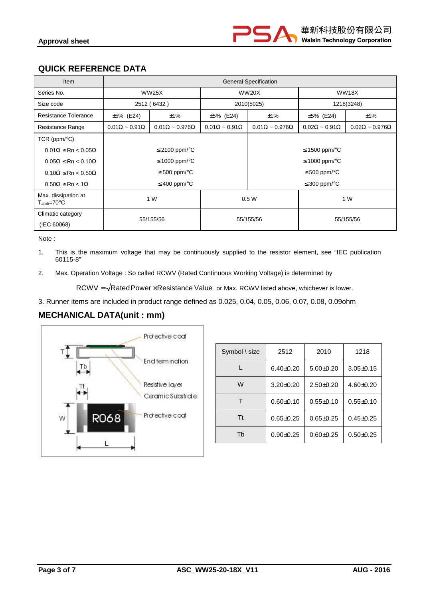# **QUICK REFERENCE DATA**

| <b>Item</b>                                | <b>General Specification</b>                                  |                    |                              |                               |                              |                               |
|--------------------------------------------|---------------------------------------------------------------|--------------------|------------------------------|-------------------------------|------------------------------|-------------------------------|
| Series No.                                 | <b>WW25X</b>                                                  |                    | <b>WW20X</b>                 |                               | <b>WW18X</b>                 |                               |
| Size code                                  | 2512 (6432)                                                   |                    | 2010(5025)                   |                               | 1218(3248)                   |                               |
| Resistance Tolerance                       | ±1%<br>$±5\%$ (E24)                                           |                    | $±5\%$ (E24)                 | ±1%                           | $±5\%$ (E24)                 | ±1%                           |
| Resistance Range                           | $0.01\Omega \sim 0.91\Omega$<br>$0.01\Omega \sim 0.976\Omega$ |                    | $0.01\Omega \sim 0.91\Omega$ | $0.01\Omega \sim 0.976\Omega$ | $0.02\Omega \sim 0.91\Omega$ | $0.02\Omega \sim 0.976\Omega$ |
| TCR ( $ppm$ <sup>o</sup> C)                |                                                               |                    |                              |                               |                              |                               |
| $0.01\Omega \leq Rn < 0.05\Omega$          |                                                               | $≤$ 2100 ppm/ $°C$ |                              | ≤ 1500 ppm/ $\degree$ C       |                              |                               |
| $0.05\Omega \le Rn < 0.10\Omega$           | ≤ 1000 ppm/ $\degree$ C                                       |                    |                              | ≤ 1000 ppm/ $\degree$ C       |                              |                               |
| $0.10\Omega \leq Rn < 0.50\Omega$          | $\leq 500$ ppm/ $\degree$ C                                   |                    |                              | $\leq 500$ ppm/ $\degree$ C   |                              |                               |
| $0.50\Omega \leq Rn < 1\Omega$             | $\leq$ 400 ppm/ $\degree$ C                                   |                    |                              | $\leq$ 300 ppm/ $\degree$ C   |                              |                               |
| Max. dissipation at<br>$T_{\rm amb}$ =70°C | 1 W                                                           |                    | 0.5W                         |                               | 1 W                          |                               |
| Climatic category<br>(IEC 60068)           | 55/155/56                                                     |                    | 55/155/56                    |                               | 55/155/56                    |                               |

Note :

- 1. This is the maximum voltage that may be continuously supplied to the resistor element, see "IEC publication 60115-8"
- 2. Max. Operation Voltage : So called RCWV (Rated Continuous Working Voltage) is determined by

 $RCWV = \sqrt{RatedPower \times Resistance Value}$  or Max. RCWV listed above, whichever is lower.

3. Runner items are included in product range defined as 0.025, 0.04, 0.05, 0.06, 0.07, 0.08, 0.09ohm

## **MECHANICAL DATA(unit : mm)**



| Symbol \ size | 2512            | 2010            | 1218            |
|---------------|-----------------|-----------------|-----------------|
|               | $6.40 \pm 0.20$ | $5.00 \pm 0.20$ | $3.05 \pm 0.15$ |
| W             | $3.20 \pm 0.20$ | $2.50 \pm 0.20$ | $4.60 \pm 0.20$ |
|               | $0.60 + 0.10$   | $0.55 \pm 0.10$ | $0.55 \pm 0.10$ |
| <b>Tt</b>     | $0.65 \pm 0.25$ | $0.65 \pm 0.25$ | $0.45 \pm 0.25$ |
| Th            | $0.90 + 0.25$   | $0.60 + 0.25$   | $0.50 + 0.25$   |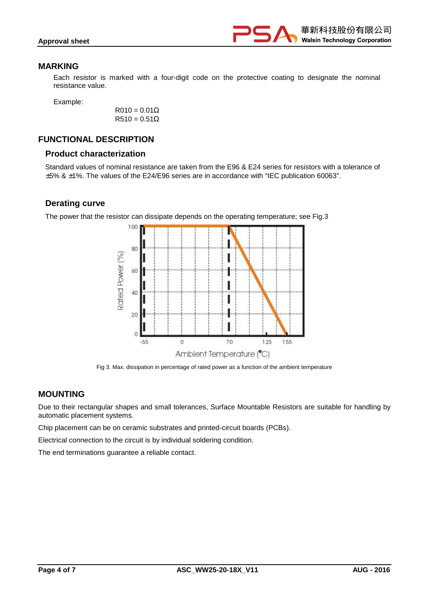

#### **MARKING**

Each resistor is marked with a four-digit code on the protective coating to designate the nominal resistance value.

Example:

 $R010 = 0.01\Omega$  $R510 = 0.51\Omega$ 

## **FUNCTIONAL DESCRIPTION**

#### **Product characterization**

Standard values of nominal resistance are taken from the E96 & E24 series for resistors with a tolerance of ±5% & ±1%. The values of the E24/E96 series are in accordance with "IEC publication 60063".

#### **Derating curve**

The power that the resistor can dissipate depends on the operating temperature; see Fig.3



Fig 3. Max. dissipation in percentage of rated power as a function of the ambient temperature

#### **MOUNTING**

Due to their rectangular shapes and small tolerances, Surface Mountable Resistors are suitable for handling by automatic placement systems.

Chip placement can be on ceramic substrates and printed-circuit boards (PCBs).

Electrical connection to the circuit is by individual soldering condition.

The end terminations guarantee a reliable contact.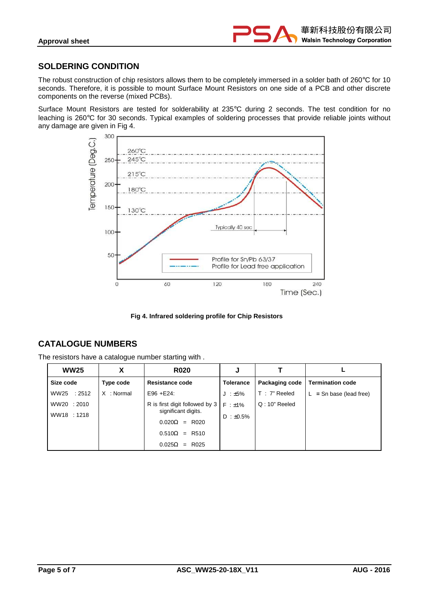

## **SOLDERING CONDITION**

The robust construction of chip resistors allows them to be completely immersed in a solder bath of 260°C for 10 seconds. Therefore, it is possible to mount Surface Mount Resistors on one side of a PCB and other discrete components on the reverse (mixed PCBs).

Surface Mount Resistors are tested for solderability at 235°C during 2 seconds. The test condition for no leaching is 260°C for 30 seconds. Typical examples of soldering processes that provide reliable joints without any damage are given in Fig 4.



**Fig 4. Infrared soldering profile for Chip Resistors** 

# **CATALOGUE NUMBERS**

The resistors have a catalogue number starting with .

| <b>WW25</b>                | X          | <b>R020</b>                                                                                                                   | J                                |                |                           |
|----------------------------|------------|-------------------------------------------------------------------------------------------------------------------------------|----------------------------------|----------------|---------------------------|
| Size code                  | Type code  | <b>Resistance code</b>                                                                                                        | <b>Tolerance</b>                 | Packaging code | <b>Termination code</b>   |
| WW25 : 2512                | X : Normal | $E96 + E24$ :                                                                                                                 | $J : ±5\%$                       | T: 7" Reeled   | $L =$ Sn base (lead free) |
| WW20 : 2010<br>WW18 : 1218 |            | R is first digit followed by 3<br>significant digits.<br>$0.020\Omega$ = R020<br>$0.510\Omega = R510$<br>$0.025\Omega$ = R025 | $F : \pm 1\%$<br>$D : \pm 0.5\%$ | $Q:10"$ Reeled |                           |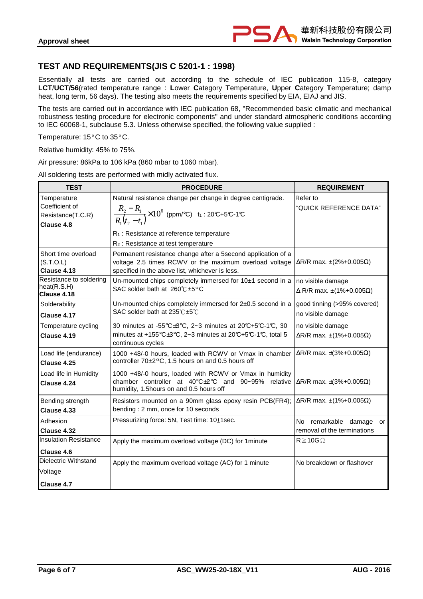## **TEST AND REQUIREMENTS(JIS C 5201-1 : 1998)**

Essentially all tests are carried out according to the schedule of IEC publication 115-8, category **LCT**/**UCT/56**(rated temperature range : **L**ower **C**ategory **T**emperature, **U**pper **C**ategory **T**emperature; damp heat, long term, 56 days). The testing also meets the requirements specified by EIA, EIAJ and JIS.

The tests are carried out in accordance with IEC publication 68, "Recommended basic climatic and mechanical robustness testing procedure for electronic components" and under standard atmospheric conditions according to IEC 60068-1, subclause 5.3. Unless otherwise specified, the following value supplied :

Temperature: 15°C to 35°C.

Relative humidity: 45% to 75%.

Air pressure: 86kPa to 106 kPa (860 mbar to 1060 mbar).

All soldering tests are performed with midly activated flux.

| <b>TEST</b>                                                      | <b>PROCEDURE</b>                                                                                                                                                                                                                                            | <b>REQUIREMENT</b>                                                |  |
|------------------------------------------------------------------|-------------------------------------------------------------------------------------------------------------------------------------------------------------------------------------------------------------------------------------------------------------|-------------------------------------------------------------------|--|
| Temperature<br>Coefficient of<br>Resistance(T.C.R)<br>Clause 4.8 | Natural resistance change per change in degree centigrade.<br>$\frac{R_2 - R_1}{R_1(t_2 - t_1)}$ × 10 <sup>6</sup> (ppm/°C) t <sub>1</sub> : 20°C+5°C-1°C<br>R <sub>1</sub> : Resistance at reference temperature<br>$R_2$ : Resistance at test temperature | Refer to<br>"QUICK REFERENCE DATA"                                |  |
| Short time overload<br>(S.T.O.L)<br><b>Clause 4.13</b>           | Permanent resistance change after a 5second application of a<br>voltage 2.5 times RCWV or the maximum overload voltage<br>specified in the above list, whichever is less.                                                                                   | $\Delta$ R/R max. ±(2%+0.005 $\Omega$ )                           |  |
| Resistance to soldering<br>heat(R.S.H)<br>Clause 4.18            | Un-mounted chips completely immersed for $10±1$ second in a<br>SAC solder bath at 260℃±5°C                                                                                                                                                                  | no visible damage<br>$\Delta$ R/R max. $\pm$ (1%+0.005 $\Omega$ ) |  |
| Solderability<br>Clause 4.17                                     | Un-mounted chips completely immersed for 2±0.5 second in a<br>SAC solder bath at 235°C ±5°C                                                                                                                                                                 | good tinning (>95% covered)<br>no visible damage                  |  |
| Temperature cycling<br>Clause 4.19                               | 30 minutes at -55°C±3°C, 2~3 minutes at 20°C+5°C-1°C, 30<br>minutes at +155°C±3°C, 2~3 minutes at 20°C+5°C-1°C, total 5<br>continuous cycles                                                                                                                | no visible damage<br>$\Delta$ R/R max. ±(1%+0.005 $\Omega$ )      |  |
| Load life (endurance)<br>Clause 4.25                             | 1000 +48/-0 hours, loaded with RCWV or Vmax in chamber<br>controller 70±2°C, 1.5 hours on and 0.5 hours off                                                                                                                                                 | $\Delta$ R/R max. $\pm$ (3%+0.005 $\Omega$ )                      |  |
| Load life in Humidity<br>Clause 4.24                             | 1000 +48/-0 hours, loaded with RCWV or Vmax in humidity<br>chamber controller at 40°C±2°C and 90~95% relative<br>humidity, 1.5hours on and 0.5 hours off                                                                                                    | $\Delta$ R/R max. $\pm$ (3%+0.005 $\Omega$ )                      |  |
| Bending strength<br>Clause 4.33                                  | Resistors mounted on a 90mm glass epoxy resin PCB(FR4);<br>bending: 2 mm, once for 10 seconds                                                                                                                                                               | $\Delta$ R/R max. ±(1%+0.005 $\Omega$ )                           |  |
| Adhesion<br>Clause 4.32                                          | Pressurizing force: 5N, Test time: 10±1sec.                                                                                                                                                                                                                 | No remarkable damage<br>or<br>removal of the terminations         |  |
| <b>Insulation Resistance</b><br>Clause 4.6                       | Apply the maximum overload voltage (DC) for 1 minute                                                                                                                                                                                                        | $R \geq 10G \Omega$                                               |  |
| Dielectric Withstand<br>Voltage<br>Clause 4.7                    | Apply the maximum overload voltage (AC) for 1 minute                                                                                                                                                                                                        | No breakdown or flashover                                         |  |